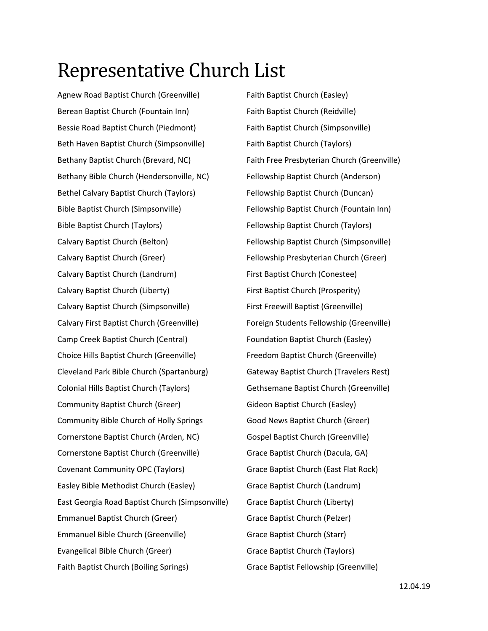## Representative Church List

Agnew Road Baptist Church (Greenville) Berean Baptist Church (Fountain Inn) Bessie Road Baptist Church (Piedmont) Beth Haven Baptist Church (Simpsonville) Bethany Baptist Church (Brevard, NC) Bethany Bible Church (Hendersonville, NC) Bethel Calvary Baptist Church (Taylors) Bible Baptist Church (Simpsonville) Bible Baptist Church (Taylors) Calvary Baptist Church (Belton) Calvary Baptist Church (Greer) Calvary Baptist Church (Landrum) Calvary Baptist Church (Liberty) Calvary Baptist Church (Simpsonville) Calvary First Baptist Church (Greenville) Camp Creek Baptist Church (Central) Choice Hills Baptist Church (Greenville) Cleveland Park Bible Church (Spartanburg) Colonial Hills Baptist Church (Taylors) Community Baptist Church (Greer) Community Bible Church of Holly Springs Cornerstone Baptist Church (Arden, NC) Cornerstone Baptist Church (Greenville) Covenant Community OPC (Taylors) Easley Bible Methodist Church (Easley) East Georgia Road Baptist Church (Simpsonville) Emmanuel Baptist Church (Greer) Emmanuel Bible Church (Greenville) Evangelical Bible Church (Greer) Faith Baptist Church (Boiling Springs)

Faith Baptist Church (Easley) Faith Baptist Church (Reidville) Faith Baptist Church (Simpsonville) Faith Baptist Church (Taylors) Faith Free Presbyterian Church (Greenville) Fellowship Baptist Church (Anderson) Fellowship Baptist Church (Duncan) Fellowship Baptist Church (Fountain Inn) Fellowship Baptist Church (Taylors) Fellowship Baptist Church (Simpsonville) Fellowship Presbyterian Church (Greer) First Baptist Church (Conestee) First Baptist Church (Prosperity) First Freewill Baptist (Greenville) Foreign Students Fellowship (Greenville) Foundation Baptist Church (Easley) Freedom Baptist Church (Greenville) Gateway Baptist Church (Travelers Rest) Gethsemane Baptist Church (Greenville) Gideon Baptist Church (Easley) Good News Baptist Church (Greer) Gospel Baptist Church (Greenville) Grace Baptist Church (Dacula, GA) Grace Baptist Church (East Flat Rock) Grace Baptist Church (Landrum) Grace Baptist Church (Liberty) Grace Baptist Church (Pelzer) Grace Baptist Church (Starr) Grace Baptist Church (Taylors) Grace Baptist Fellowship (Greenville)